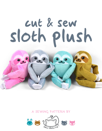# cut & sew sloth plush



**a sewing pattern by**

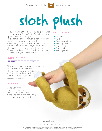

# sloth plush

If you're reading this, then you likely purchased some of my Cut & Sew Sloth Plush fabric from Spoonflower. So thank you!

This adorable and lazy plush is perfect for chill hugs. The claws can be sewn with Velcro so it's able to hang on anything at the ready like the corner of a door, towel hook, or your arm! The head can also be sewn so it's facing forward or sideways. This way it can look like it's peeking at you while it hangs.

#### **skills used:**

- Basting
- Darts

**2**

- Sewing small pieces
- **Sewing Velcro**
- Ladder stitch
- Top-stitching
- **Sewing curves**

### **difficulty:**

This plush is pretty simple on its own, but the neck seam can be tricky. The large arms are difficult to stuff into the body while the neck is being sewn, so that takes some patience.

#### **makes:**

One plush with body measuring 6" tall, 4" wide, and 4" long. Arms and legs measure 5" long each (not including claws).

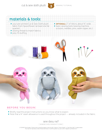cut & sew sloth plush 3 SEWING TUTORIAL



# **materials & tools:**

- your pre-printed Cut & Sew Sloth plush fabric from Spoonflower (at least one fat quarter)
- **•** sewing thread to match fabrics
- poly-fil stuffing
- **OPTIONAL:** 2" of Velcro, about <sup>3</sup>/4" wide • basic sewing tools (sewing machine,
	- scissors, needles, pins, seam ripper, etc.)



#### **before you begin:**

- Briefly read the project instructions so you know what to expect.
- Note that a ¼" seam allowance is used throughout the project -- already included in the fabric.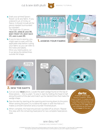cut & sew sloth plush  $\left\{\right\}$  sewing tutorial



a. Grab your printed Spoonflower cut & sew fabric. If you ordered ¼ yd. of minky or fleece, it should include all the pieces needed (surrounded by a border).

#### The Sloth has 22 pieces: **head (2), arms & legs (8), body front (2), body back (2), and claws (8).**

**b.** If you're new to sewing, you might want to wait until the applicable step before cutting your fabric so you can refer to the notes and labels. Once you need a piece, cut it out along the dotted lines outside the shape.



1. **assess your fabric**





- **a.** Cut out your **HEAD** pieces. Locate the open wedge found on the top of these pieces -- this is a dart. To sew it, start by folding the head in half along the point of the dart and match up the slanted lines that make the wedge shape.
- **b.** Sew the dart by starting at the opening and moving down to the point. When sewing the point, try to blend the seam in with the fold so it makes a smooth transition and a rounder finished plush.
- c. When complete, the head should look rounded off as shown. Repeat this step with the remaining head piece for two complete head pieces total.

# **darts:**

A wedge-shaped gap found in a pattern. When sewn in fabric, it creates a tuck in the fabric and develops a 3D shape. The diagonal sides of the wedge are the **legs**; these are matched up and sewn to the **point** of the dart.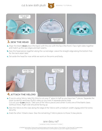cut & sew sloth plush  $\overline{S}$  sewing tutorial





**5**

- a. Align the blank **head** piece (the back) with the one with the face (the front). Face right sides together and match up the raw edges and dart seams.
- **b.** Sew the head pieces together along the curved edge. Leave the straight edge along the bottom free for the neck seam later.
- c. Set aside the head for now while we work on the arms and body.



- a. If you're using Velcro, take this time to cut your 2" piece in half so you have two 1" pieces. Separate the hook (scratchy) and loop (fluffy) sides so you have 4 separate pieces total. Cut out your **claw** pieces. Take one of the Velcro pieces and center it onto one of the blank claws (without lines). Right side should be facing up.
- **b.** Sew the Velcro to the claw along the edge of the Velcro with a medium-width zigzag stitch for extra security.
- c. Grab the other 3 blank claws. Sew the remaining 3 Velcro pieces to those 3 claw pieces.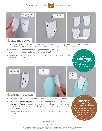cut & sew sloth plush and sewing tutorial





- a. Grab one of your **claw** pieces without Velcro. It should have lines printed on the fabric. Align it to one of the claws that has Velcro attached. Face right sides together and match up the raw edges.
- **b.** Sew the claw pieces together along the longer curved edge. Leave the shorter curved edge free for turning right side out.
- c. Repeat with the remaining claw pieces so you have 4 sewn claws. Turn the claws right side out.

**top stitching:** one or several lines of

stitching done on the right side of a project to serve a decorative purpose

claw & arm curve in same direction



### 6. **baste the claws**

- a. Top stitch through each claw along the printed lines found on the fabric.
- b. Cut out your **arm/leg** pieces. Take this moment to locate the *claw placement colored band* found on the end of the arm/leg piece. Align the open end of the claw within this colored band. Flip it so the claw curves in the same direction as the arm.
- c. Baste the claws within the seam allowance to hold them in place for the next part.

## **basting:**

A form of temporary sewing meant to hold pieces in place. A long stitch length is often used for this reason. The finished result is not meant to be seen and sometimes is even removed later • (depending on your  $\cdot$ . project)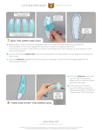cut & sew sloth plush  $\overline{z}$  sewing tutorial





a. Repeat step 6 with another arm/leg piece that's curving in the same direction as the first. Then prepare 2 more arm/leg pieces that are curving in the opposite direction. You'll know you have it right when you have 2 arms/legs with Velcro facing up, and another 2 with Velcro facing down.

- b. Line up the basted **arms/legs** with a remaining blank arm/leg. Match up raw edges and encase the claw inside.
- c. Sew the **arm/leg** together around the long curved edge. Leave the short straight edge free for turning right side out.



8. **turn and stuff the arms/legs**

- a. Turn the **arm/leg** right side out through the opening. Make sure the claw was sewn fully into the seam.
- b. Stuff the end of the arm/ leg with stuffing. Leave the opening end lightly stuffed so it doesn't get in the way later.

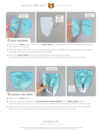cut & sew sloth plush  $\left| \right\rangle$  sewing tutorial





- **a.** Cut out your **BODY** pieces. Take the two **BODY BACK** pieces and align them with right sides facing and raw edges matching up.
- **b.** Note the opening for turning colored band printed along one edge. Sew the body back pieces along this edge only, but leave the opening that's marked.
- c. Grab your **body front** pieces and align them the same way as the back. Sew them along the same edge as for the body back, but don't leave an opening for turning.



- **a.** Open up the **BODY** pieces.
- **b.** Take this moment to locate the **arm placement colored bands** on the **BODY FRONT** pieces. Align the open end of the arms you've just sewn within these placement bands. Pin them in place.
- c. Be sure that the arms are curving toward the center and also that the Velcro pieces stick together. Baste the arms in place within the seam allowance to hold them for future steps.

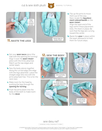cut & sew sloth plush and sewing tutorial







a. Flip up the arms to move them out of the way. Next, locate the *leg placement colored bands* on the **body front**.

Align the open end of the legs within these placement lines. Pin them in place. Be sure that the legs are curving toward the center.

**b.** Baste the **LEGS** in place within the seam allowance to hold

- **a.** Get your **BODY BACK** piece (the side with the opening for turning). Align it over the **body front** piece with the limbs attached. Match up the raw edges and center seam.
- **b.** Sew the body pieces together along the curved edge (the edge with the legs attached). Leave the straight edge (the one with the arms attached) free. This is for the neck next.
- c. Make room for the head by pushing the legs through the *opening for turning*.
- d. Push the arms down into the body of the sloth to make room for the **head**.

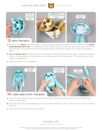cut & sew sloth plush  $\bigcup_{i=1}^{\infty}$  sewing tutorial





- a. Retrieve your **head** piece from before. Align the center of the face (marked with a notch) at the *center seam between the arms*. The head back notch should match up with the back body seam (which has the opening). The side seams from the head and body should also match up. Pin this whole edge in place.
- **b. FOR A TURNED HEAD:** Match up the front and back head notches to the side seams instead of the body seams. The side seams of the head will now match up with the body seams. This will give your sloth head a 90 degree turn.
- c. Sew around the neck completely.



- a. Turn the sloth right side out through the opening for turning in the back. Pull out the limbs first to make turning easier.
- **b.** Stuff the sloth through the opening. Fill it fully with stuffing, focusing on the face first until it no longer wrinkles.
- c. Then fill the rest of the body with stuffing.